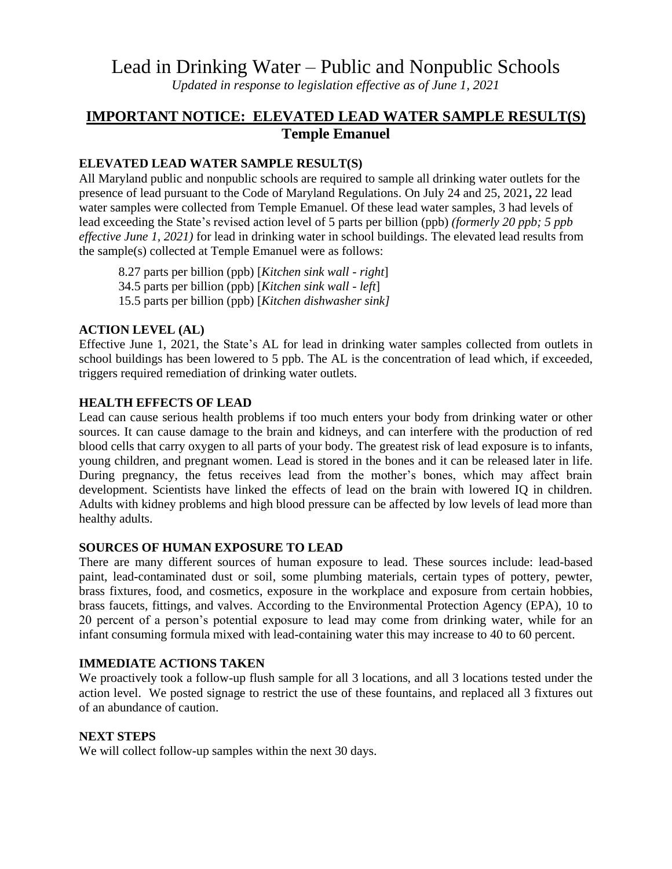# Lead in Drinking Water – Public and Nonpublic Schools

*Updated in response to legislation effective as of June 1, 2021*

## **IMPORTANT NOTICE: ELEVATED LEAD WATER SAMPLE RESULT(S) Temple Emanuel**

### **ELEVATED LEAD WATER SAMPLE RESULT(S)**

All Maryland public and nonpublic schools are required to sample all drinking water outlets for the presence of lead pursuant to the Code of Maryland Regulations. On July 24 and 25, 2021**,** 22 lead water samples were collected from Temple Emanuel. Of these lead water samples, 3 had levels of lead exceeding the State's revised action level of 5 parts per billion (ppb) *(formerly 20 ppb; 5 ppb effective June 1, 2021)* for lead in drinking water in school buildings. The elevated lead results from the sample(s) collected at Temple Emanuel were as follows:

8.27 parts per billion (ppb) [*Kitchen sink wall - right*] 34.5 parts per billion (ppb) [*Kitchen sink wall - left*] 15.5 parts per billion (ppb) [*Kitchen dishwasher sink]*

#### **ACTION LEVEL (AL)**

Effective June 1, 2021, the State's AL for lead in drinking water samples collected from outlets in school buildings has been lowered to 5 ppb. The AL is the concentration of lead which, if exceeded, triggers required remediation of drinking water outlets.

#### **HEALTH EFFECTS OF LEAD**

Lead can cause serious health problems if too much enters your body from drinking water or other sources. It can cause damage to the brain and kidneys, and can interfere with the production of red blood cells that carry oxygen to all parts of your body. The greatest risk of lead exposure is to infants, young children, and pregnant women. Lead is stored in the bones and it can be released later in life. During pregnancy, the fetus receives lead from the mother's bones, which may affect brain development. Scientists have linked the effects of lead on the brain with lowered IQ in children. Adults with kidney problems and high blood pressure can be affected by low levels of lead more than healthy adults.

#### **SOURCES OF HUMAN EXPOSURE TO LEAD**

There are many different sources of human exposure to lead. These sources include: lead-based paint, lead-contaminated dust or soil, some plumbing materials, certain types of pottery, pewter, brass fixtures, food, and cosmetics, exposure in the workplace and exposure from certain hobbies, brass faucets, fittings, and valves. According to the Environmental Protection Agency (EPA), 10 to 20 percent of a person's potential exposure to lead may come from drinking water, while for an infant consuming formula mixed with lead-containing water this may increase to 40 to 60 percent.

#### **IMMEDIATE ACTIONS TAKEN**

We proactively took a follow-up flush sample for all 3 locations, and all 3 locations tested under the action level. We posted signage to restrict the use of these fountains, and replaced all 3 fixtures out of an abundance of caution.

#### **NEXT STEPS**

We will collect follow-up samples within the next 30 days.